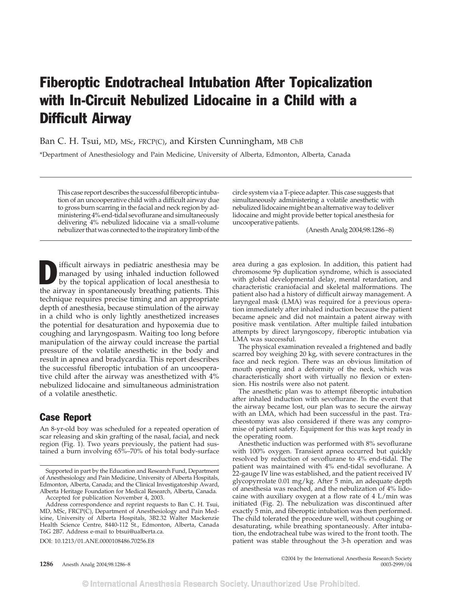## Fiberoptic Endotracheal Intubation After Topicalization with In-Circuit Nebulized Lidocaine in a Child with a Difficult Airway

Ban C. H. Tsui, MD, MSc, FRCP(C), and Kirsten Cunningham, MB ChB

\*Department of Anesthesiology and Pain Medicine, University of Alberta, Edmonton, Alberta, Canada

This case report describes the successful fiberoptic intubation of an uncooperative child with a difficult airway due to gross burn scarring in the facial and neck region by administering 4% end-tidal sevoflurane and simultaneously delivering 4% nebulized lidocaine via a small-volume nebulizer that was connected to the inspiratory limb of the circle system via a T-piece adapter. This case suggests that simultaneously administering a volatile anesthetic with nebulized lidocaine might be an alternative way to deliver lidocaine and might provide better topical anesthesia for uncooperative patients.

(Anesth Analg 2004;98:1286–8)

ifficult airways in pediatric anesthesia may be managed by using inhaled induction followed by the topical application of local anesthesia to the airway in spontaneously breathing patients. This technique requires precise timing and an appropriate depth of anesthesia, because stimulation of the airway in a child who is only lightly anesthetized increases the potential for desaturation and hypoxemia due to coughing and laryngospasm. Waiting too long before manipulation of the airway could increase the partial pressure of the volatile anesthetic in the body and result in apnea and bradycardia. This report describes the successful fiberoptic intubation of an uncooperative child after the airway was anesthetized with 4% nebulized lidocaine and simultaneous administration of a volatile anesthetic.

## Case Report

An 8-yr-old boy was scheduled for a repeated operation of scar releasing and skin grafting of the nasal, facial, and neck region (Fig. 1). Two years previously, the patient had sustained a burn involving 65%–70% of his total body-surface

Accepted for publication November 4, 2003.

DOI: 10.1213/01.ANE.0000108486.70256.E8

area during a gas explosion. In addition, this patient had chromosome 9p duplication syndrome, which is associated with global developmental delay, mental retardation, and characteristic craniofacial and skeletal malformations. The patient also had a history of difficult airway management. A laryngeal mask (LMA) was required for a previous operation immediately after inhaled induction because the patient became apneic and did not maintain a patent airway with positive mask ventilation. After multiple failed intubation attempts by direct laryngoscopy, fiberoptic intubation via LMA was successful.

The physical examination revealed a frightened and badly scarred boy weighing 20 kg, with severe contractures in the face and neck region. There was an obvious limitation of mouth opening and a deformity of the neck, which was characteristically short with virtually no flexion or extension. His nostrils were also not patent.

The anesthetic plan was to attempt fiberoptic intubation after inhaled induction with sevoflurane. In the event that the airway became lost, our plan was to secure the airway with an LMA, which had been successful in the past. Tracheostomy was also considered if there was any compromise of patient safety. Equipment for this was kept ready in the operating room.

Anesthetic induction was performed with 8% sevoflurane with 100% oxygen. Transient apnea occurred but quickly resolved by reduction of sevoflurane to 4% end-tidal. The patient was maintained with 4% end-tidal sevoflurane. A 22-gauge IV line was established, and the patient received IV glycopyrrolate 0.01 mg/kg. After 5 min, an adequate depth of anesthesia was reached, and the nebulization of 4% lidocaine with auxiliary oxygen at a flow rate of 4 L/min was initiated (Fig. 2). The nebulization was discontinued after exactly 5 min, and fiberoptic intubation was then performed. The child tolerated the procedure well, without coughing or desaturating, while breathing spontaneously. After intubation, the endotracheal tube was wired to the front tooth. The patient was stable throughout the 3-h operation and was

©2004 by the International Anesthesia Research Society

Supported in part by the Education and Research Fund, Department of Anesthesiology and Pain Medicine, University of Alberta Hospitals, Edmonton, Alberta, Canada; and the Clinical Investigatorship Award, Alberta Heritage Foundation for Medical Research, Alberta, Canada.

Address correspondence and reprint requests to Ban C. H. Tsui, MD, MSc, FRCP(C), Department of Anesthesiology and Pain Medicine, University of Alberta Hospitals, 3B2.32 Walter Mackenzie Health Science Centre, 8440-112 St., Edmonton, Alberta, Canada T6G 2B7. Address e-mail to btsui@ualberta.ca.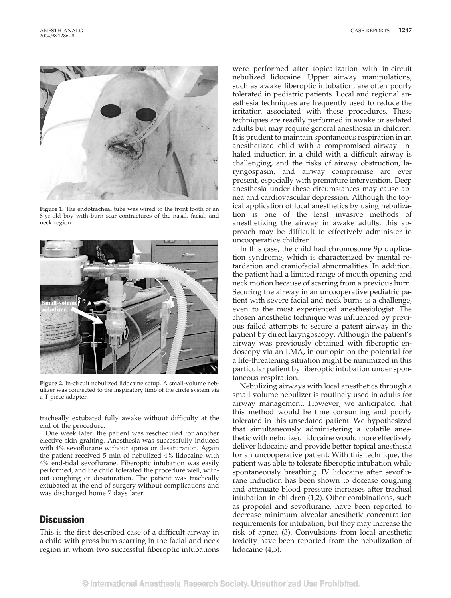

**Figure 1.** The endotracheal tube was wired to the front tooth of an 8-yr-old boy with burn scar contractures of the nasal, facial, and neck region.



**Figure 2.** In-circuit nebulized lidocaine setup. A small-volume nebulizer was connected to the inspiratory limb of the circle system via a T-piece adapter.

tracheally extubated fully awake without difficulty at the end of the procedure.

One week later, the patient was rescheduled for another elective skin grafting. Anesthesia was successfully induced with 4% sevoflurane without apnea or desaturation. Again the patient received 5 min of nebulized 4% lidocaine with 4% end-tidal sevoflurane. Fiberoptic intubation was easily performed, and the child tolerated the procedure well, without coughing or desaturation. The patient was tracheally extubated at the end of surgery without complications and was discharged home 7 days later.

## **Discussion**

This is the first described case of a difficult airway in a child with gross burn scarring in the facial and neck region in whom two successful fiberoptic intubations

were performed after topicalization with in-circuit nebulized lidocaine. Upper airway manipulations, such as awake fiberoptic intubation, are often poorly tolerated in pediatric patients. Local and regional anesthesia techniques are frequently used to reduce the irritation associated with these procedures. These techniques are readily performed in awake or sedated adults but may require general anesthesia in children. It is prudent to maintain spontaneous respiration in an anesthetized child with a compromised airway. Inhaled induction in a child with a difficult airway is challenging, and the risks of airway obstruction, laryngospasm, and airway compromise are ever present, especially with premature intervention. Deep anesthesia under these circumstances may cause apnea and cardiovascular depression. Although the topical application of local anesthetics by using nebulization is one of the least invasive methods of anesthetizing the airway in awake adults, this approach may be difficult to effectively administer to uncooperative children.

In this case, the child had chromosome 9p duplication syndrome, which is characterized by mental retardation and craniofacial abnormalities. In addition, the patient had a limited range of mouth opening and neck motion because of scarring from a previous burn. Securing the airway in an uncooperative pediatric patient with severe facial and neck burns is a challenge, even to the most experienced anesthesiologist. The chosen anesthetic technique was influenced by previous failed attempts to secure a patent airway in the patient by direct laryngoscopy. Although the patient's airway was previously obtained with fiberoptic endoscopy via an LMA, in our opinion the potential for a life-threatening situation might be minimized in this particular patient by fiberoptic intubation under spontaneous respiration.

Nebulizing airways with local anesthetics through a small-volume nebulizer is routinely used in adults for airway management. However, we anticipated that this method would be time consuming and poorly tolerated in this unsedated patient. We hypothesized that simultaneously administering a volatile anesthetic with nebulized lidocaine would more effectively deliver lidocaine and provide better topical anesthesia for an uncooperative patient. With this technique, the patient was able to tolerate fiberoptic intubation while spontaneously breathing. IV lidocaine after sevoflurane induction has been shown to decease coughing and attenuate blood pressure increases after tracheal intubation in children (1,2). Other combinations, such as propofol and sevoflurane, have been reported to decrease minimum alveolar anesthetic concentration requirements for intubation, but they may increase the risk of apnea (3). Convulsions from local anesthetic toxicity have been reported from the nebulization of lidocaine (4,5).